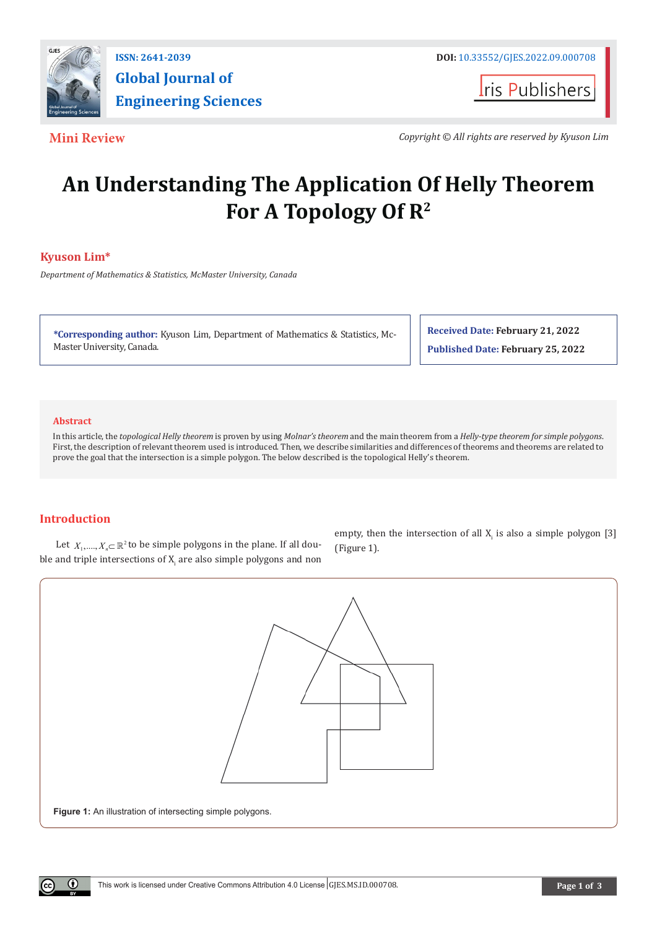

**I**ris Publishers

**Mini Review** *Copyright © All rights are reserved by Kyuson Lim*

# **An Understanding The Application Of Helly Theorem For A Topology Of R2**

# **Kyuson Lim\***

*Department of Mathematics & Statistics, McMaster University, Canada*

**\*Corresponding author:** Kyuson Lim, Department of Mathematics & Statistics, Mc-Master University, Canada.

**Received Date: February 21, 2022 Published Date: February 25, 2022**

### **Abstract**

In this article, the *topological Helly theorem* is proven by using *Molnar's theorem* and the main theorem from a *Helly-type theorem for simple polygons*. First, the description of relevant theorem used is introduced. Then, we describe similarities and differences of theorems and theorems are related to prove the goal that the intersection is a simple polygon. The below described is the topological Helly's theorem.

## **Introduction**

 $\bf{r}$ 

Let  $X_1, \ldots, X_n \subset \mathbb{R}^2$  to be simple polygons in the plane. If all double and triple intersections of  $X_i$  are also simple polygons and non empty, then the intersection of all  $X_i$  is also a simple polygon [3] (Figure 1).

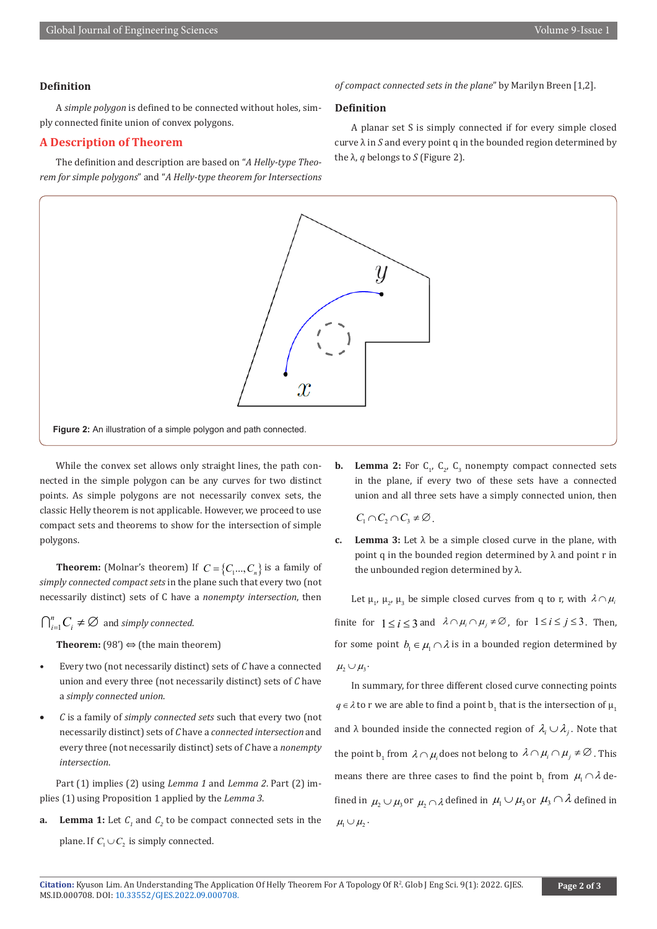#### **Definition**

A *simple polygon* is defined to be connected without holes, simply connected finite union of convex polygons.

#### **A Description of Theorem**

The definition and description are based on "*A Helly-type Theorem for simple polygons*" and "*A Helly-type theorem for Intersections*  *of compact connected sets in the plane*" by Marilyn Breen [1,2].

#### **Definition**

A planar set S is simply connected if for every simple closed curve λ in *S* and every point q in the bounded region determined by the  $λ$ , *q* belongs to *S* (Figure 2).



While the convex set allows only straight lines, the path connected in the simple polygon can be any curves for two distinct points. As simple polygons are not necessarily convex sets, the classic Helly theorem is not applicable. However, we proceed to use compact sets and theorems to show for the intersection of simple polygons.

**Theorem:** (Molnar's theorem) If  $C = \{C_1, ..., C_n\}$  is a family of *simply connected compact sets* in the plane such that every two (not necessarily distinct) sets of C have a *nonempty intersection*, then

 $\bigcap_{i=1}^n C_i \neq \emptyset$  and *simply connected*.

**Theorem:** (98')  $\Leftrightarrow$  (the main theorem)

- Every two (not necessarily distinct) sets of *C* have a connected union and every three (not necessarily distinct) sets of *C* have a *simply connected union*.
- • *C* is a family of *simply connected sets* such that every two (not necessarily distinct) sets of *C* have a *connected intersection* and every three (not necessarily distinct) sets of *C* have a *nonempty intersection*.

Part (1) implies (2) using *Lemma 1* and *Lemma 2*. Part (2) implies (1) using Proposition 1 applied by the *Lemma 3*.

**a.** Lemma 1: Let  $C_1$  and  $C_2$  to be compact connected sets in the plane. If  $C_1 \cup C_2$  is simply connected.

**b.** Lemma 2: For  $C_1$ ,  $C_2$ ,  $C_3$  nonempty compact connected sets in the plane, if every two of these sets have a connected union and all three sets have a simply connected union, then

 $C_1 \cap C_2 \cap C_3 \neq \emptyset$ .

**c. Lemma 3:** Let  $\lambda$  be a simple closed curve in the plane, with point q in the bounded region determined by  $\lambda$  and point r in the unbounded region determined by λ.

Let  $\mu_1$ ,  $\mu_2$ ,  $\mu_3$  be simple closed curves from q to r, with  $\lambda \cap \mu_1$ finite for  $1 < i < 3$  and  $\lambda \cap \mu_i \cap \mu_j \neq \emptyset$ , for  $1 \le i \le j \le 3$ . Then, for some point  $b_1 \in \mu_1 \cap \lambda$  is in a bounded region determined by  $\mu_2 \cup \mu_3$ .

In summary, for three different closed curve connecting points  $q \in \lambda$  to r we are able to find a point  $b_1$  that is the intersection of  $\mu_1$ and λ bounded inside the connected region of  $\lambda_i \cup \lambda_j$ . Note that the point  $b_1$  from  $\lambda \cap \mu_i$  does not belong to  $\lambda \cap \mu_i \cap \mu_j \neq \emptyset$  . This means there are three cases to find the point  $b_1$  from  $\mu_1 \cap \lambda$  defined in  $\mu_1 \cup \mu_2$  or  $\mu_1 \cap \lambda$  defined in  $\mu_1 \cup \mu_2$  or  $\mu_3 \cap \lambda$  defined in  $\mu_1 \cup \mu_2$ .